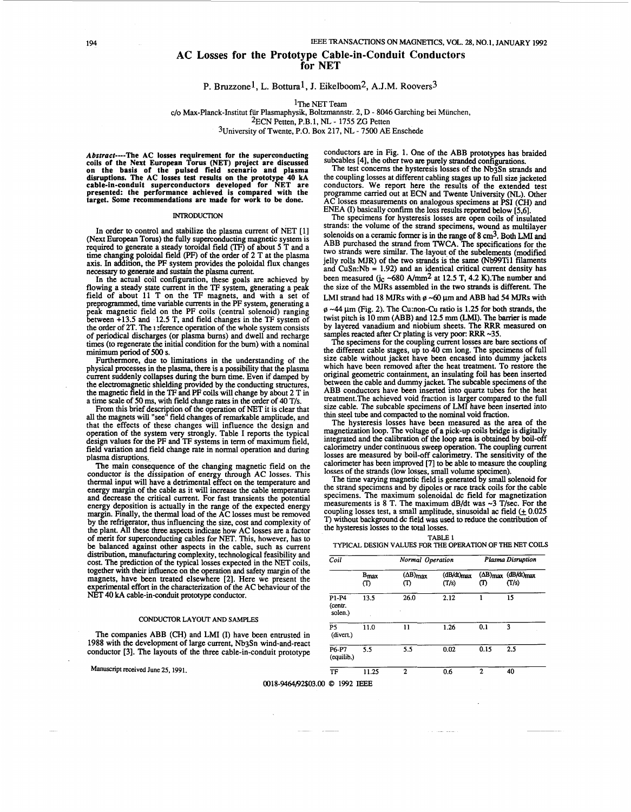# **AC Losses for the Prototype Cable-in-Conduit Conductors for NET**

# **P.** Bmzzonel, L. Bottural, J. Eikelboom2, A.J.M. **Roovers3**

1The NET Team

c/o Max-Planck-Institut fiir Plasmaphysik, Boltzmannstr. 2, D - 8046 Garching bei Miinchen,

2ECN Petten, P.B.l, **NL** - 1755 ZG Petten

3University of Twente, P.O. Box 217, NL - 7500 AE Enschede

#### INTRODUCTION

In order to control and stabilize the plasma current of NET [l] (Next European Torus) the fully superconducting magnetic system is required to generate a steady toroidal field (TF) of about 5 T and a time changing poloidal field (PF) of the order of 2 T at the plasma axis. In addition, the PF system provides the poloidal flux changes necessary to generate and sustain the plasma current. to generate a steady toroidal field

In the actual coil configuration, these goals **are** achieved by flowing a steady state current in the TF system, generating a peak field of about 11 T on the **TF** magnets, and with a set of preprogrammed, time variable currents in the PF system, generating a peak magnetic field on the PF coils (central solenoid) ranging between +13.5 and 12.5 T, and field changes in the **TF** system of the order of 2T. The **1** :ference operation of the whole system consists of periodical discharges (or plasma bums) and dwell and recharge times (to regenerate the initial condition for the bum) with **a minimum period** of **500 s.** Furthemore, due to limitations in the understanding of the

physical processes in the plasma, there is a possibility that the plasma current suddenly collapses during the burn time. Even if damped by the electromagnetic shielding provided by the conducting structures,<br>the magnetic field in the TF and PF coils will change by about 2 T in<br>a time scale of 50 ms, with field change rates in the order of 40 T/s. a time scale of 50 ms, with field change rates in the order of 40 T/s.

From this brief description of the operation of NET it is clear that<br>all the magnets will "see" field changes of remarkable amplitude, and that the effects of these changes will influence the design and operation of the system very strongly. Table I reports the typical design values for the PF and **TF** systems in of maximum field, field variation and field change rate in noma1 operation and during plasma disruptions. From this brief description of the operation of NET it is

conductor is the dissipation of energy through AC losses. This thermal input will have a detrimental effect on the temperature and energy margin of the cable as it will increase the cable temperature and decrease the critical current. For fast transients the potential and decrease the critical current. For fast transients the potential energy deposition is actually in the range of the expected energy Finally, the thermal load of the AC losses must be removed by the refrigerator, thus influencing the size, cost and complexity of the plant. All these three aspects indicate how AC losses **are** a factor of merit for superconducting cables for NET. This, however, has to be balanced against other aspects in the cable, such as current distribution, manufacturing complexity, technological feasibility and cost. The prediction of the typical losses expected in the NET coils, together with their influence on the operation and safety margin of the magnets, have been treated elsewhere [2]. Here we present the experimental effort in the characterization of the AC behaviour of the NET 40 kA cable-in-conduit prototype conductor.

### CONDUCTOR **LAYOUT** *AND* **SAMPLES**

The companies ABB (CH) and LMI (I) have been entrusted in 1988 with the development of large current, NbgSn wind-and-react conductor [3]. The layouts of the three cable-in-conduit prototype

**Manuscript received June 25, 1991.** 

Abstract----The AC losses requirement for the superconducting conductors are in [Fig. 1.](#page-1-0) One of the ABB prototypes has braided coils of the Next European Torus (NET) project are discussed subcables [4], the other two are pu conductors are in Fig. 1. One of the ABB prototypes has braided subcables [4], the other two are purely stranded configurations.<br>The test concerns the hysteresis losses of the Nb3Sn strands and

on the basis of the pulsed field scenario and plasma<br>disruptions. The AC losses test results on the prototype 40 kA the coupling losses at different cabling stages up to full size jacketed<br>cable-in-conduit superconductors **presented: the performance achieved is compared with the programme carried out at ECN and Twente is of the extended test<br>presented: the performance achieved is compared with the programme carried out at ECN and Twente Uni target. Some recommendations are made for work to be done-** AC losses measurements on analogous specimens at **PSI** (CH) and ENEA (I) basically confirm the loss results **reported** below [5,6].

The specimens for hysteresis losses **are** open coils of insulated strands: the volume of the strand specimens, wound as multilayer is **in** the **range** of 8 cm3. Both LMI **and**  ABB purchased the strand from TWCA. The specifications for the two strands were similar. The layout of the subelements (modified jelly rolls **MJR)** of the two strands is the same (Nb99Til filaments and  $CuSn:Nb = 1.92$ ) and an identical critical current density has been measured ( $j_c$  ~680 A/mm<sup>2</sup> at 12.5 T, 4.2 K). The number and the size of the MJRs assembled in the two strands is different. The LMI strand had 18 MJRs with  $\phi \sim 60 \mu m$  and ABB had 54 MJRs with on **a** ceramic

 $\phi$  ~44  $\mu$ m (Fig. 2). The Cu:non-Cu ratio is 1.25 for both strands, the  $\mu$   $\approx$  44  $\mu$ m (rig. 2). The Culhon-Cu ratio is 1.25 for both strains, the twist pitch is 10 mm (ABB) and 12.5 mm (LMI). The barrier is made

by layered vanadium and niobium sheets. The RRR measured on<br>samples reacted after Cr plating is very poor: RRR ~35.<br>The specimens for the coupling current losses are bare sections of<br>the different cable stages, up to 40 cm which have been removed after the heat treatment. **To** restore the original geometric containment, an insulating foil has been inserted between the cable and dummy jacket. The subcable specimens of the ABB conductors have been inserted into quartz tubes for the heat treatment.The achieved void fraction is larger compared to the full size cable. The subcable specimens of **MI** have been inserted into thin Steel tube and Compacted to the nominal void fraction.

The hysteresis losses have been measured as the area of the magnetization loop. The voltage of a pick-up coils bridge is digitally integrated and the calibration of the loop area is obtained by boil-off calorimetry under continuous sweep operation- The coupling current losses are measured by boil-off calorimetry. The sensitivity of the calorimeter has been improved [7] to be able to measure the coupling losses of the strands (low losses, small volu The main consequence of the changing magnetic field on the calorimeter has been improved [7] to be able to measure the coupling<br>here are done to the doring the coupling the coupling the coupling the coupling of the couplin

> The time varying magnetic field is generated by small solenoid for the strand specimens and by dipoles or race track coils for the cable specimens. The maximum solenoidal dc field for magnetization measurements is 8 T. The maximum dB/dt was  $-3$  T/sec. For the coupling losses test, a small amplitude, sinusoidal ac field  $(± 0.025$ the hysteresis losses to the total losses. T) without background dc field was used to reduce the contribution of

| TABLE 1                                                  |  |  |  |  |  |
|----------------------------------------------------------|--|--|--|--|--|
| TYPICAL DESIGN VALUES FOR THE OPERATION OF THE NET COILS |  |  |  |  |  |

| Coil                        | Normal Operation        |                           |                        | <b>Plasma Disruption</b>         |                          |
|-----------------------------|-------------------------|---------------------------|------------------------|----------------------------------|--------------------------|
|                             | B <sub>max</sub><br>(T) | $(\Delta B)_{max}$<br>(T) | $(dB/dt)$ max<br>(T/s) | $(\Delta B)_{\text{max}}$<br>(T) | $(dB/dt)_{max}$<br>(T/s) |
| P1-P4<br>(centr.<br>solen.) | 13.5                    | 26.0                      | 2.12                   | 1                                | 15                       |
| P <sub>5</sub><br>(divert.) | 11.0                    | 11                        | 1.26                   | 0.1                              | 3                        |
| P6-P7<br>(equilib.)         | 5.5                     | 5.5                       | 0.02                   | 0.15                             | 2.5                      |
| TF                          | 11.25                   | $\mathbf{2}$              | 0.6                    | 2                                | 40                       |

**0018-9464/92\$03.00** *0* 1992 **IEEE**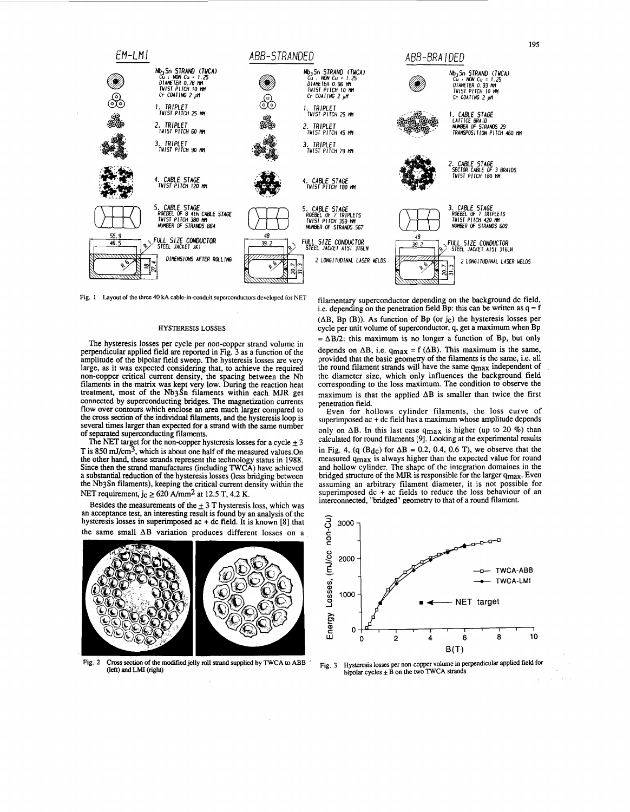<span id="page-1-0"></span>

Fig. 1 Layout of the three 40 kA cable-in-conduit superconductors developed for NET

### **HYSTERESIS LOSSES**

The hysteresis losses per cycle per non-copper strand volume in perpendicular applied field are reported in Fig. 3 as a function of the amplitude of the bipolar field sweep. The hysteresis losses are very large, as it was expected considering that, to achieve the required hanger are well considered considering that, to denote the Nb<br>non-copper critical current density, the spacing between the Nb<br>filaments in the matrix was kept very low. During the reaction heat<br>treatment, most of the Nb3Sn connected by superconducting bridges. The magnetization currents<br>flow over contours which enclose an area much larger compared to the cross section of the individual filaments, and the hysteresis loop is several times larger than expected for a strand with the same number of separated superconducting filaments.<br>The NET target for the non-copper hysteresis losses for a cycle  $\pm 3$ 

T is 850 mJ/cm<sup>3</sup>, which is about one half of the measured values.On the other hand, these strands represent the technology status in 1988. Since then the strand manufactures (including TWCA) have achieved a substantial reduction of the hysteresis losses (less bridging between the Nb3Sn filaments), keeping the critical current density within the NET requirement,  $j_c \ge 620$  A/mm<sup>2</sup> at 12.5 T, 4.2 K.

Besides the measurements of the  $\pm$  3 T hysteresis loss, which was an acceptance test, an interesting result is found by an analysis of the hysteresis losses in superimposed  $ac + dc$  field. It is known [8] that the same small  $\Delta B$  variation produces different losses on a



Fig. 2 Cross section of the modified jelly roll strand supplied by TWCA to ABB (left) and LMI (right)

filamentary superconductor depending on the background dc field, i.e. depending on the penetration field Bp: this can be written as  $q = f$  $(\Delta B, Bp (B))$ . As function of Bp (or jc) the hysteresis losses per cycle per unit volume of superconductor, q, get a maximum when Bp  $=\Delta B/2$ : this maximum is no longer a function of Bp, but only depends on  $\Delta B$ , i.e.  $q_{max} = f(\Delta B)$ . This maximum is the same, provided that the basic geometry of the filaments is the same, i.e. all the round filament strands will have the same q<sub>max</sub> independent of the diameter size, which only influences the background field corresponding to the loss maximum. The condition to observe the maximum is that the applied  $\Delta B$  is smaller than twice the first penetration field.

Even for hollows cylinder filaments, the loss curve of superimposed  $ac + dc$  field has a maximum whose amplitude depends only on  $\Delta B$ . In this last case  $q_{max}$  is higher (up to 20 %) than calculated for round filaments [9]. Looking at the experimental results in Fig. 4, (q  $(B_{dc})$  for  $\Delta B = 0.2$ , 0.4, 0.6 T), we observe that the measured qmax is always higher than the expected value for round and hollow cylinder. The shape of the integration domaines in the bridged structure of the MJR is responsible for the larger qmax. Even assuming an arbitrary filament diameter, it is not possible for superimposed dc + ac fields to reduce the loss behaviour of an interconnected, "bridged" geometry to that of a round filament.



Hysteresis losses per non-copper volume in perpendicular applied field for bipolar cycles  $\pm$  B on the two TWCA strands Fig. 3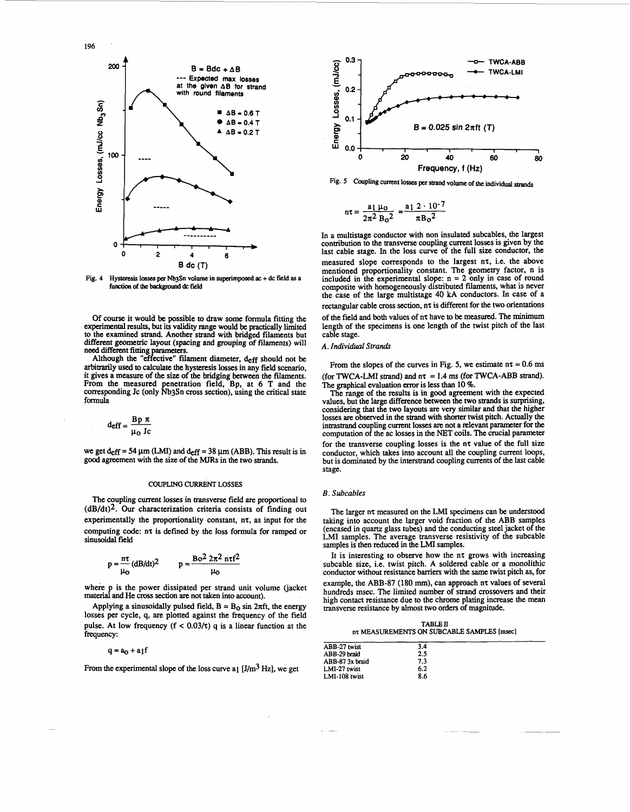

**Fig. 4** Hysteresis **losses per Nb\$n volume in superimposed ac** + **dc field as a**  function **of the backgmd** & **field** 

Of course it would be possible to draw some formula fitting the experimental results, but its validity range would be practically limited to the examined strand. Another strand with bridged filaments but different geometric layout (spacing and grouping of filaments) will need different **fitting** parametas.

Although the "effective" filament diameter, deff should not be arbitrarily **used** to calculate the hysteresis losses in any field scenario, it gives a measure of the size of the bridging between the filaments. From the measured penetration field, Bp, at **6** T and the corresponding Jc (only Nb3Sn **cross** section), using the critical state formula a measure of the size<br>the measured penetral penetral penetral penetral penetral<br>onding Jc (only Nb3)<br> $d$ <br> $d$  eff =  $\frac{Bp \pi}{\mu_0}$  Jc

$$
deff = \frac{Bp \pi}{\mu_0 Jc}
$$

we get  $d_{eff} = 54 \mu m$  (LMI) and  $d_{eff} = 38 \mu m$  (ABB). This result is in **good** agreement with the size of the **MJRs** in the two strands.

### **COUPLING CURRENT LOSSES**

The coupling current losses in transverse field **are** proportional to  $(dB/dt)^2$ . Our characterization criteria consists of finding out experimentally the proportionality constant,  $n\tau$ , as input for the computing code: nz is defined by the loss formula for ramped or sinusoidal field

$$
p = \frac{n\tau}{\mu_0} (dB/dt)^2 \qquad p = \frac{Bo^2 2\pi^2 n\tau f^2}{\mu_0}
$$

where p is the power dissipated per strand unit volume (jacket material and He **cross** section **are** not taken into account).

Applying a sinusoidally pulsed field,  $B = B_0 \sin 2\pi ft$ , the energy losses per cycle, **q.** are plotted against the frequency of the field pulse. At low frequency  $(f < 0.03/\tau)$  q is a linear function at the frequency:

# $q = a_0 + a_1f$

From the experimental slope of the loss curve a<sub>1</sub> [J/m<sup>3</sup> *Hz*], we get



**Fig. 5 Coupling current losses per strand volume of the individual strands** 

$$
n\tau = \frac{a_1 \mu_0}{2\pi^2 B_0^2} = \frac{a_1 2 \cdot 10^{-7}}{\pi B_0^2}
$$

In a multistage conductor with non insulated subcables, the largest contribution to the transverse coupling current losses is given by the last cable stage. In the loss curve of the full size conductor, the measured slope corresponds to the largest nz, i.e. the above mentioned proportionality constant. The geometry factor, n is included in the experimental slope: n = 2 only in case of round composite with homogeneously distributed filaments, what is never the case of the large multistage **40** kA conductors. In case of a rectangular cable **cross** section, nz is different for the two orientations of the field and both values of nz have to be measured. The minimum length of the specimens is one length of the twist pitch of the last cable stage.

## **A.** *Individual Strands*

From the slopes of the curves in Fig. 5, we estimate  $n\tau = 0.6$  ms (for TWCA-LMI strand) and  $n\tau = 1.4$  ms (for TWCA-ABB strand). The graphical evaluation error is less than 10 %.

The range of the results is in **good** agreement with the expected values, but the large difference between the two strands is surprising, considering that the two layouts are very similar and that the higher losses **are** observed in the strand with shorter twist pitch. Actually the intrastrand coupling current losses **are** not a relevant parameter for the computation of the ac losses in the NET **coils.** The crucial parameter for the transverse coupling losses is the  $n\tau$  value of the full size conductor, which takes into account all the coupling current loops, but is dominated by the interstrand coupling currents of the last cable stage.

### *B. Subcables*

The larger n $\tau$  measured on the LMI specimens can be understood taking into account the larger void fraction of the ABB samples (encased in quartz glass tubes) and the conducting steel jacket of the LMI samples. The average transverse resistivity of the subcable samples is then reduced in the LMI samples.

It is interesting to observe how the nz grows with increasing subcable size, i.e. twist pitch. A soldered cable or a monolithic conductor without resistance barriers with the same twist pitch **as,** for example, the ABB-87 (180 mm), can approach n $\tau$  values of several hundreds msec. The limited number of strand crossovers and their high contact resistance due to the chrome plating increase the mean transverse resistance by almost two orders of magnitude.

**TABLE ll**   $n\tau$  MEASUREMENTS ON SUBCABLE SAMPLES [msec]

| ABB-27 twist    | 3.4 |  |  |
|-----------------|-----|--|--|
| ABB-29 braid    | 2.5 |  |  |
| ABB-87 3x braid | 7.3 |  |  |
| LMI-27 twist    | 6.2 |  |  |
| LMI-108 twist   | 8.6 |  |  |
|                 |     |  |  |